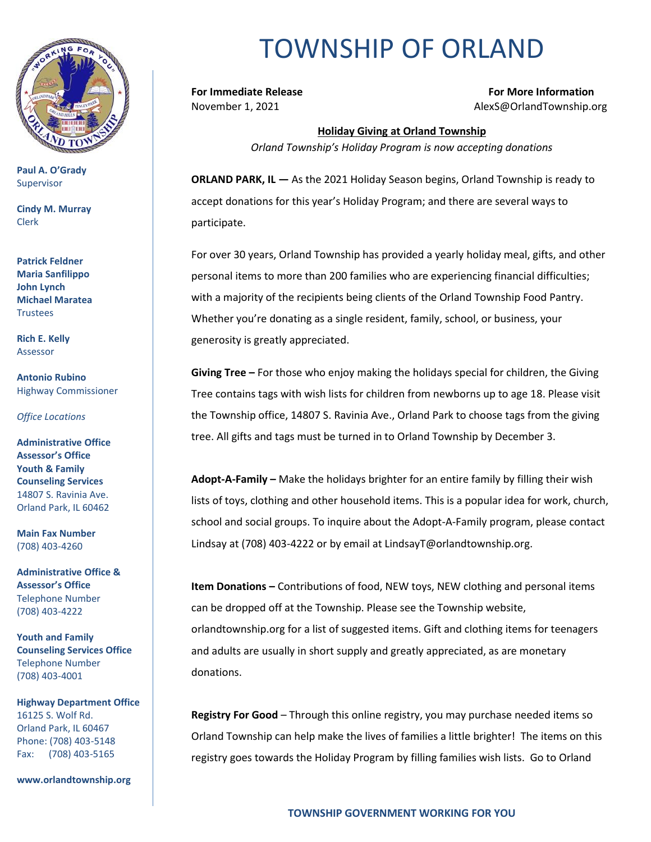

**Paul A. O'Grady** Supervisor

**Cindy M. Murray** Clerk

**Patrick Feldner Maria Sanfilippo John Lynch Michael Maratea Trustees** 

**Rich E. Kelly** Assessor

**Antonio Rubino** Highway Commissioner

*Office Locations*

**Administrative Office Assessor's Office Youth & Family Counseling Services** 14807 S. Ravinia Ave. Orland Park, IL 60462

**Main Fax Number**  (708) 403-4260

**Administrative Office & Assessor's Office**  Telephone Number (708) 403-4222

**Youth and Family Counseling Services Office**  Telephone Number (708) 403-4001

**Highway Department Office** 16125 S. Wolf Rd. Orland Park, IL 60467 Phone: (708) 403-5148 Fax: (708) 403-5165

**www.orlandtownship.org**

## TOWNSHIP OF ORLAND

**For Immediate Release For More Information** November 1, 2021 **Alexs**@OrlandTownship.org

> **Holiday Giving at Orland Township** *Orland Township's Holiday Program is now accepting donations*

**ORLAND PARK, IL —** As the 2021 Holiday Season begins, Orland Township is ready to accept donations for this year's Holiday Program; and there are several ways to participate.

For over 30 years, Orland Township has provided a yearly holiday meal, gifts, and other personal items to more than 200 families who are experiencing financial difficulties; with a majority of the recipients being clients of the Orland Township Food Pantry. Whether you're donating as a single resident, family, school, or business, your generosity is greatly appreciated.

**Giving Tree –** For those who enjoy making the holidays special for children, the Giving Tree contains tags with wish lists for children from newborns up to age 18. Please visit the Township office, 14807 S. Ravinia Ave., Orland Park to choose tags from the giving tree. All gifts and tags must be turned in to Orland Township by December 3.

**Adopt-A-Family –** Make the holidays brighter for an entire family by filling their wish lists of toys, clothing and other household items. This is a popular idea for work, church, school and social groups. To inquire about the Adopt-A-Family program, please contact Lindsay at (708) 403-4222 or by email at LindsayT@orlandtownship.org.

**Item Donations –** Contributions of food, NEW toys, NEW clothing and personal items can be dropped off at the Township. Please see the Township website, orlandtownship.org for a list of suggested items. Gift and clothing items for teenagers and adults are usually in short supply and greatly appreciated, as are monetary donations.

**Registry For Good** – Through this online registry, you may purchase needed items so Orland Township can help make the lives of families a little brighter! The items on this registry goes towards the Holiday Program by filling families wish lists. Go to Orland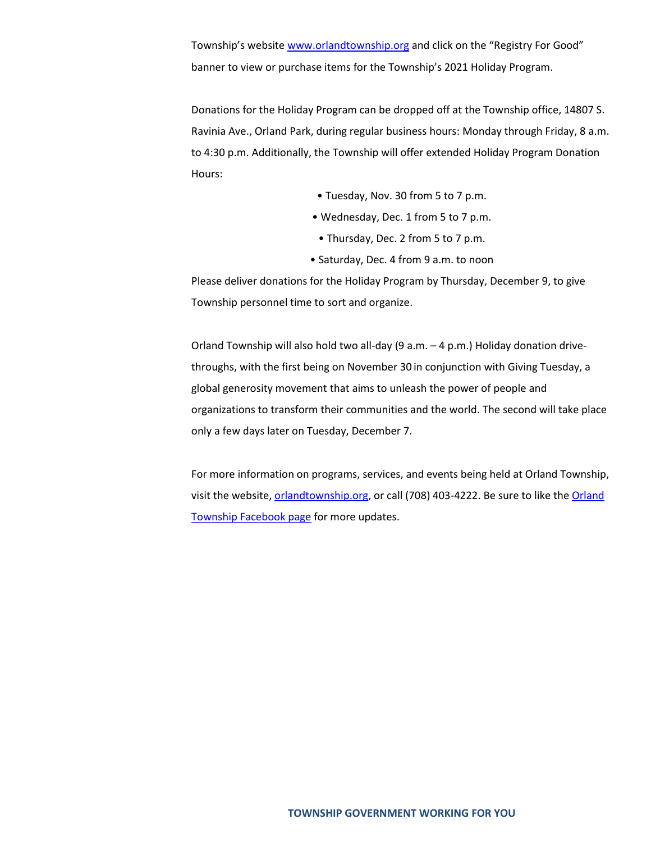Township's website [www.orlandtownship.org](http://www.orlandtownship.org/) and click on the "Registry For Good" banner to view or purchase items for the Township's 2021 Holiday Program.

Donations for the Holiday Program can be dropped off at the Township office, 14807 S. Ravinia Ave., Orland Park, during regular business hours: Monday through Friday, 8 a.m. to 4:30 p.m. Additionally, the Township will offer extended Holiday Program Donation Hours:

- Tuesday, Nov. 30 from 5 to 7 p.m.
- Wednesday, Dec. 1 from 5 to 7 p.m.
	- Thursday, Dec. 2 from 5 to 7 p.m.
- Saturday, Dec. 4 from 9 a.m. to noon

Please deliver donations for the Holiday Program by Thursday, December 9, to give Township personnel time to sort and organize.

Orland Township will also hold two all-day (9 a.m. – 4 p.m.) Holiday donation drivethroughs, with the first being on November 30 in conjunction with Giving Tuesday, a global generosity movement that aims to unleash the power of people and organizations to transform their communities and the world. The second will take place only a few days later on Tuesday, December 7.

For more information on programs, services, and events being held at Orland Township, visit the website, [orlandtownship.org,](http://www.orlandtownship.org/) or call (708) 403-4222. Be sure to like the [Orland](https://www.facebook.com/OrlandTownshipIL/)  [Township Facebook page](https://www.facebook.com/OrlandTownshipIL/) for more updates.